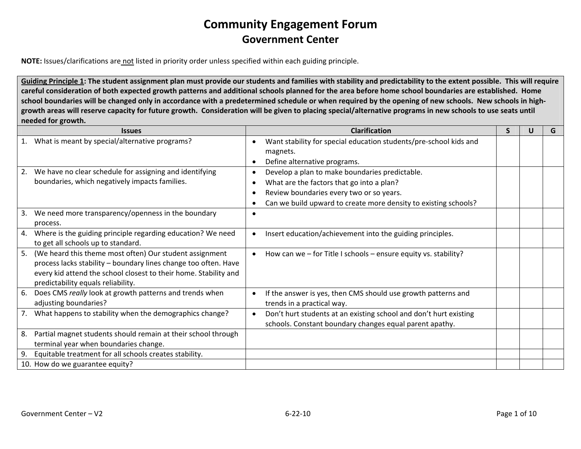**NOTE:** Issues/clarifications are not listed in priority order unless specified within each guiding principle.

Guiding Principle 1: The student assignment plan must provide our students and families with stability and predictability to the extent possible. This will require careful consideration of both expected growth patterns and additional schools planned for the area before home school boundaries are established. Home school boundaries will be changed only in accordance with a predetermined schedule or when required by the opening of new schools. New schools in highgrowth areas will reserve capacity for future growth. Consideration will be given to placing special/alternative programs in new schools to use seats until **needed for growth.**

|    | <b>Issues</b>                                                    |           | <b>Clarification</b>                                              | S | G |
|----|------------------------------------------------------------------|-----------|-------------------------------------------------------------------|---|---|
| 1. | What is meant by special/alternative programs?                   |           | Want stability for special education students/pre-school kids and |   |   |
|    |                                                                  |           | magnets.                                                          |   |   |
|    |                                                                  |           | Define alternative programs.                                      |   |   |
| 2. | We have no clear schedule for assigning and identifying          | $\bullet$ | Develop a plan to make boundaries predictable.                    |   |   |
|    | boundaries, which negatively impacts families.                   | ٠         | What are the factors that go into a plan?                         |   |   |
|    |                                                                  | $\bullet$ | Review boundaries every two or so years.                          |   |   |
|    |                                                                  |           | Can we build upward to create more density to existing schools?   |   |   |
| 3. | We need more transparency/openness in the boundary               |           |                                                                   |   |   |
|    | process.                                                         |           |                                                                   |   |   |
| 4. | Where is the guiding principle regarding education? We need      | $\bullet$ | Insert education/achievement into the guiding principles.         |   |   |
|    | to get all schools up to standard.                               |           |                                                                   |   |   |
| 5. | (We heard this theme most often) Our student assignment          | $\bullet$ | How can we - for Title I schools - ensure equity vs. stability?   |   |   |
|    | process lacks stability - boundary lines change too often. Have  |           |                                                                   |   |   |
|    | every kid attend the school closest to their home. Stability and |           |                                                                   |   |   |
|    | predictability equals reliability.                               |           |                                                                   |   |   |
| 6. | Does CMS really look at growth patterns and trends when          |           | If the answer is yes, then CMS should use growth patterns and     |   |   |
|    | adjusting boundaries?                                            |           | trends in a practical way.                                        |   |   |
| 7. | What happens to stability when the demographics change?          | $\bullet$ | Don't hurt students at an existing school and don't hurt existing |   |   |
|    |                                                                  |           | schools. Constant boundary changes equal parent apathy.           |   |   |
| 8. | Partial magnet students should remain at their school through    |           |                                                                   |   |   |
|    | terminal year when boundaries change.                            |           |                                                                   |   |   |
| 9. | Equitable treatment for all schools creates stability.           |           |                                                                   |   |   |
|    | 10. How do we guarantee equity?                                  |           |                                                                   |   |   |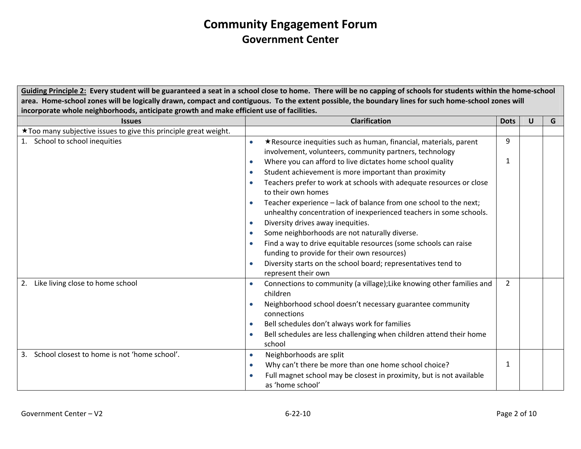Guiding Principle 2: Every student will be guaranteed a seat in a school close to home. There will be no capping of schools for students within the home-school area. Home-school zones will be logically drawn, compact and contiguous. To the extent possible, the boundary lines for such home-school zones will **incorporate whole neighborhoods, anticipate growth and make efficient use of facilities.**

| <b>Issues</b>                                                    | <b>Clarification</b>                                                                                                                    | <b>Dots</b>    | U | G |
|------------------------------------------------------------------|-----------------------------------------------------------------------------------------------------------------------------------------|----------------|---|---|
| *Too many subjective issues to give this principle great weight. |                                                                                                                                         |                |   |   |
| School to school inequities<br>1.                                | *Resource inequities such as human, financial, materials, parent                                                                        | 9              |   |   |
|                                                                  | involvement, volunteers, community partners, technology                                                                                 |                |   |   |
|                                                                  | Where you can afford to live dictates home school quality                                                                               | 1              |   |   |
|                                                                  | Student achievement is more important than proximity                                                                                    |                |   |   |
|                                                                  | Teachers prefer to work at schools with adequate resources or close                                                                     |                |   |   |
|                                                                  | to their own homes                                                                                                                      |                |   |   |
|                                                                  | Teacher experience - lack of balance from one school to the next;<br>unhealthy concentration of inexperienced teachers in some schools. |                |   |   |
|                                                                  | Diversity drives away inequities.                                                                                                       |                |   |   |
|                                                                  | Some neighborhoods are not naturally diverse.                                                                                           |                |   |   |
|                                                                  | Find a way to drive equitable resources (some schools can raise                                                                         |                |   |   |
|                                                                  | funding to provide for their own resources)                                                                                             |                |   |   |
|                                                                  | Diversity starts on the school board; representatives tend to                                                                           |                |   |   |
|                                                                  | represent their own                                                                                                                     |                |   |   |
| Like living close to home school<br>2.                           | Connections to community (a village); Like knowing other families and                                                                   | $\overline{2}$ |   |   |
|                                                                  | children                                                                                                                                |                |   |   |
|                                                                  | Neighborhood school doesn't necessary guarantee community                                                                               |                |   |   |
|                                                                  | connections                                                                                                                             |                |   |   |
|                                                                  | Bell schedules don't always work for families                                                                                           |                |   |   |
|                                                                  | Bell schedules are less challenging when children attend their home                                                                     |                |   |   |
|                                                                  | school                                                                                                                                  |                |   |   |
| School closest to home is not 'home school'.<br>3.               | Neighborhoods are split<br>$\bullet$                                                                                                    |                |   |   |
|                                                                  | Why can't there be more than one home school choice?                                                                                    | 1              |   |   |
|                                                                  | Full magnet school may be closest in proximity, but is not available                                                                    |                |   |   |
|                                                                  | as 'home school'                                                                                                                        |                |   |   |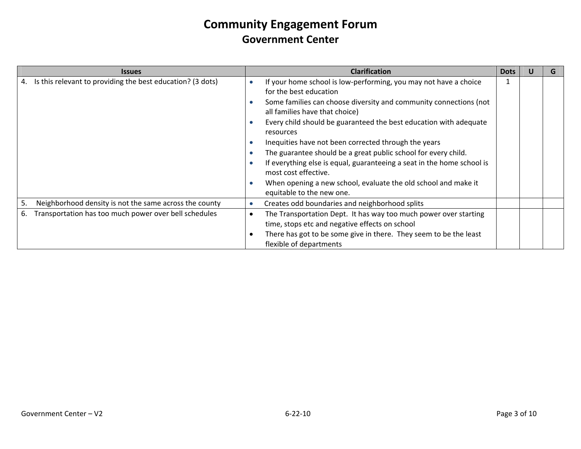|    | <b>Issues</b>                                                 |   | <b>Clarification</b>                                                                                                                                                                                                                                                                                                                                                                                                                                                                                                                                                                                           | <b>Dots</b> |  |
|----|---------------------------------------------------------------|---|----------------------------------------------------------------------------------------------------------------------------------------------------------------------------------------------------------------------------------------------------------------------------------------------------------------------------------------------------------------------------------------------------------------------------------------------------------------------------------------------------------------------------------------------------------------------------------------------------------------|-------------|--|
|    | 4. Is this relevant to providing the best education? (3 dots) |   | If your home school is low-performing, you may not have a choice<br>for the best education<br>Some families can choose diversity and community connections (not<br>all families have that choice)<br>Every child should be guaranteed the best education with adequate<br>resources<br>Inequities have not been corrected through the years<br>The guarantee should be a great public school for every child.<br>If everything else is equal, guaranteeing a seat in the home school is<br>most cost effective.<br>When opening a new school, evaluate the old school and make it<br>equitable to the new one. |             |  |
| 5. | Neighborhood density is not the same across the county        |   | Creates odd boundaries and neighborhood splits                                                                                                                                                                                                                                                                                                                                                                                                                                                                                                                                                                 |             |  |
| 6. | Transportation has too much power over bell schedules         | ٠ | The Transportation Dept. It has way too much power over starting<br>time, stops etc and negative effects on school<br>There has got to be some give in there. They seem to be the least<br>flexible of departments                                                                                                                                                                                                                                                                                                                                                                                             |             |  |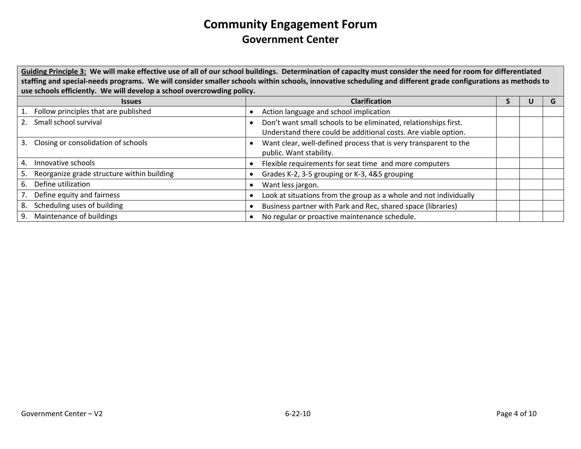Guiding Principle 3: We will make effective use of all of our school buildings. Determination of capacity must consider the need for room for differentiated staffing and special-needs programs. We will consider smaller schools within schools, innovative scheduling and different grade configurations as methods to **use schools efficiently. We will develop <sup>a</sup> school overcrowding policy.**

| <b>Issues</b>                                    | <b>Clarification</b>                                                                                                              |  |  |
|--------------------------------------------------|-----------------------------------------------------------------------------------------------------------------------------------|--|--|
| Follow principles that are published             | Action language and school implication                                                                                            |  |  |
| Small school survival<br>2.                      | Don't want small schools to be eliminated, relationships first.<br>Understand there could be additional costs. Are viable option. |  |  |
| 3.<br>Closing or consolidation of schools        | Want clear, well-defined process that is very transparent to the<br>public. Want stability.                                       |  |  |
| 4.<br>Innovative schools                         | Flexible requirements for seat time and more computers                                                                            |  |  |
| Reorganize grade structure within building<br>5. | Grades K-2, 3-5 grouping or K-3, 4&5 grouping                                                                                     |  |  |
| Define utilization<br>6.                         | Want less jargon.                                                                                                                 |  |  |
| Define equity and fairness                       | Look at situations from the group as a whole and not individually                                                                 |  |  |
| Scheduling uses of building<br>8.                | Business partner with Park and Rec, shared space (libraries)                                                                      |  |  |
| Maintenance of buildings<br>9.                   | No regular or proactive maintenance schedule.                                                                                     |  |  |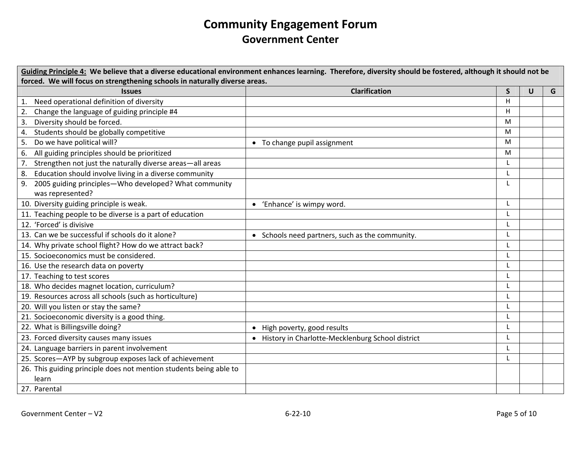| Guiding Principle 4: We believe that a diverse educational environment enhances learning. Therefore, diversity should be fostered, although it should not be |                                                  |    |   |   |  |  |
|--------------------------------------------------------------------------------------------------------------------------------------------------------------|--------------------------------------------------|----|---|---|--|--|
| forced. We will focus on strengthening schools in naturally diverse areas.                                                                                   |                                                  |    |   |   |  |  |
| <b>Issues</b>                                                                                                                                                | <b>Clarification</b>                             | S. | U | G |  |  |
| 1. Need operational definition of diversity                                                                                                                  |                                                  | H  |   |   |  |  |
| Change the language of guiding principle #4<br>2.                                                                                                            |                                                  | н  |   |   |  |  |
| 3.<br>Diversity should be forced.                                                                                                                            |                                                  | M  |   |   |  |  |
| Students should be globally competitive<br>4.                                                                                                                |                                                  | M  |   |   |  |  |
| Do we have political will?<br>5.                                                                                                                             | • To change pupil assignment                     | M  |   |   |  |  |
| All guiding principles should be prioritized<br>6.                                                                                                           |                                                  | M  |   |   |  |  |
| Strengthen not just the naturally diverse areas-all areas                                                                                                    |                                                  |    |   |   |  |  |
| 8. Education should involve living in a diverse community                                                                                                    |                                                  | L  |   |   |  |  |
| 9. 2005 guiding principles-Who developed? What community                                                                                                     |                                                  |    |   |   |  |  |
| was represented?                                                                                                                                             |                                                  |    |   |   |  |  |
| 10. Diversity guiding principle is weak.                                                                                                                     | • 'Enhance' is wimpy word.                       | L  |   |   |  |  |
| 11. Teaching people to be diverse is a part of education                                                                                                     |                                                  |    |   |   |  |  |
| 12. 'Forced' is divisive                                                                                                                                     |                                                  |    |   |   |  |  |
| 13. Can we be successful if schools do it alone?                                                                                                             | • Schools need partners, such as the community.  | L  |   |   |  |  |
| 14. Why private school flight? How do we attract back?                                                                                                       |                                                  |    |   |   |  |  |
| 15. Socioeconomics must be considered.                                                                                                                       |                                                  |    |   |   |  |  |
| 16. Use the research data on poverty                                                                                                                         |                                                  |    |   |   |  |  |
| 17. Teaching to test scores                                                                                                                                  |                                                  |    |   |   |  |  |
| 18. Who decides magnet location, curriculum?                                                                                                                 |                                                  | L  |   |   |  |  |
| 19. Resources across all schools (such as horticulture)                                                                                                      |                                                  |    |   |   |  |  |
| 20. Will you listen or stay the same?                                                                                                                        |                                                  |    |   |   |  |  |
| 21. Socioeconomic diversity is a good thing.                                                                                                                 |                                                  |    |   |   |  |  |
| 22. What is Billingsville doing?                                                                                                                             | • High poverty, good results                     |    |   |   |  |  |
| 23. Forced diversity causes many issues                                                                                                                      | History in Charlotte-Mecklenburg School district |    |   |   |  |  |
| 24. Language barriers in parent involvement                                                                                                                  |                                                  |    |   |   |  |  |
| 25. Scores-AYP by subgroup exposes lack of achievement                                                                                                       |                                                  |    |   |   |  |  |
| 26. This guiding principle does not mention students being able to                                                                                           |                                                  |    |   |   |  |  |
| learn                                                                                                                                                        |                                                  |    |   |   |  |  |
| 27. Parental                                                                                                                                                 |                                                  |    |   |   |  |  |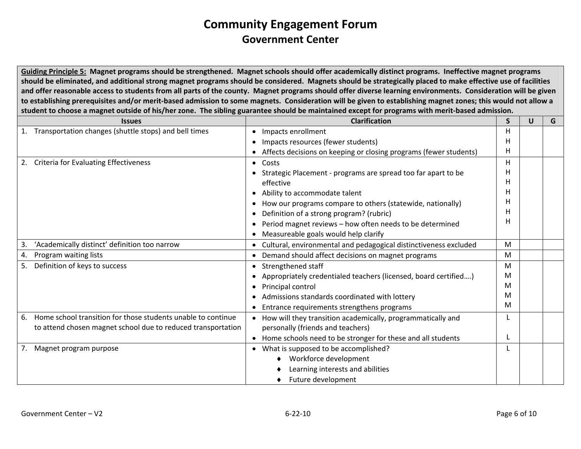Guiding Principle 5: Magnet programs should be strengthened. Magnet schools should offer academically distinct programs. Ineffective magnet programs should be eliminated, and additional strong magnet programs should be considered. Magnets should be strategically placed to make effective use of facilities and offer reasonable access to students from all parts of the county. Magnet programs should offer diverse learning environments. Consideration will be given to establishing prerequisites and/or merit-based admission to some magnets. Consideration will be given to establishing magnet zones; this would not allow a student to choose a magnet outside of his/her zone. The sibling guarantee should be maintained except for programs with merit-based admission.

|    | <b>Issues</b>                                                | <b>Clarification</b>                                                     | S | U | G |
|----|--------------------------------------------------------------|--------------------------------------------------------------------------|---|---|---|
| 1. | Transportation changes (shuttle stops) and bell times        | Impacts enrollment<br>$\bullet$                                          | H |   |   |
|    |                                                              | Impacts resources (fewer students)                                       | H |   |   |
|    |                                                              | Affects decisions on keeping or closing programs (fewer students)        | H |   |   |
| 2. | <b>Criteria for Evaluating Effectiveness</b>                 | • Costs                                                                  | H |   |   |
|    |                                                              | Strategic Placement - programs are spread too far apart to be            | н |   |   |
|    |                                                              | effective                                                                | н |   |   |
|    |                                                              | Ability to accommodate talent                                            | н |   |   |
|    |                                                              | How our programs compare to others (statewide, nationally)               | н |   |   |
|    |                                                              | Definition of a strong program? (rubric)                                 | н |   |   |
|    |                                                              | Period magnet reviews - how often needs to be determined                 | н |   |   |
|    |                                                              | Measureable goals would help clarify                                     |   |   |   |
| 3. | 'Academically distinct' definition too narrow                | Cultural, environmental and pedagogical distinctiveness excluded         | M |   |   |
| 4. | Program waiting lists                                        | Demand should affect decisions on magnet programs                        | M |   |   |
| 5. | Definition of keys to success                                | Strengthened staff                                                       | M |   |   |
|    |                                                              | Appropriately credentialed teachers (licensed, board certified)          | M |   |   |
|    |                                                              | Principal control                                                        | M |   |   |
|    |                                                              | Admissions standards coordinated with lottery                            | м |   |   |
|    |                                                              | Entrance requirements strengthens programs                               | M |   |   |
| 6. | Home school transition for those students unable to continue | How will they transition academically, programmatically and<br>$\bullet$ |   |   |   |
|    | to attend chosen magnet school due to reduced transportation | personally (friends and teachers)                                        |   |   |   |
|    |                                                              | Home schools need to be stronger for these and all students              |   |   |   |
| 7. | Magnet program purpose                                       | • What is supposed to be accomplished?                                   |   |   |   |
|    |                                                              | Workforce development                                                    |   |   |   |
|    |                                                              | Learning interests and abilities                                         |   |   |   |
|    |                                                              | Future development                                                       |   |   |   |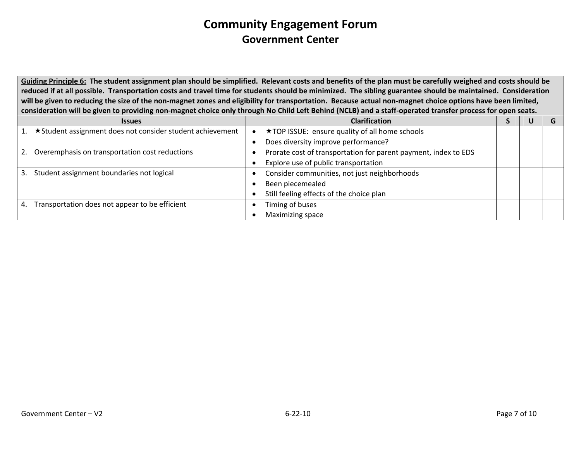Guiding Principle 6: The student assignment plan should be simplified. Relevant costs and benefits of the plan must be carefully weighed and costs should be reduced if at all possible. Transportation costs and travel time for students should be minimized. The sibling guarantee should be maintained. Consideration will be given to reducing the size of the non-magnet zones and eligibility for transportation. Because actual non-magnet choice options have been limited, consideration will be given to providing non-magnet choice only through No Child Left Behind (NCLB) and a staff-operated transfer process for open seats.

|    | <b>Issues</b>                                              |           | <b>Clarification</b>                                            |  |  |
|----|------------------------------------------------------------|-----------|-----------------------------------------------------------------|--|--|
|    | ★ Student assignment does not consider student achievement | $\bullet$ | ★TOP ISSUE: ensure quality of all home schools                  |  |  |
|    |                                                            |           | Does diversity improve performance?                             |  |  |
| 2. | Overemphasis on transportation cost reductions             |           | Prorate cost of transportation for parent payment, index to EDS |  |  |
|    |                                                            |           | Explore use of public transportation                            |  |  |
| 3. | Student assignment boundaries not logical                  |           | Consider communities, not just neighborhoods                    |  |  |
|    |                                                            |           | Been piecemealed                                                |  |  |
|    |                                                            |           | Still feeling effects of the choice plan                        |  |  |
| 4. | Transportation does not appear to be efficient             |           | Timing of buses                                                 |  |  |
|    |                                                            |           | Maximizing space                                                |  |  |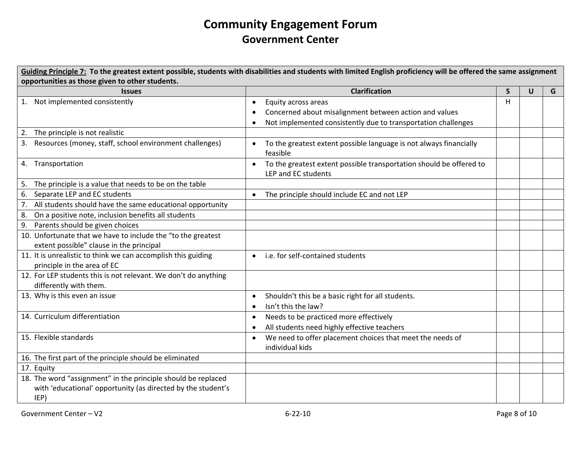Guiding Principle 7: To the greatest extent possible, students with disabilities and students with limited English proficiency will be offered the same assignment **opportunities as those given to other students. Issues Clarification S U** $U$   $G$ 1. Not implemented consistently • Equity across areas • Concerned about misalignment between action and values • Not implemented consistently due to transportation challenges H2. The principle is not realistic 3. Resources• To the greatest extent possible language is not always financially feasible4. Transportation • To the greatest extent possible transportation should be offered to LEP and EC students 5. The principle is <sup>a</sup> value that needs to be on the table 6. Separate LEP and EC students  $\bullet$  The principle should include EC and not LEP 7. All students should have the same educational opportunity 8. On <sup>a</sup> positive note, inclusion benefits all students 9. Parents should be given choices 10. Unfortunate that we have to include the "to the greatest extent possible" clause in the principal 11. It is unrealistic to think we can accomplish this guiding principle in the area of EC • i.e. for self‐contained students 12. For LEP students this is not relevant. We don't do anything differently with them. 13. Why is this even an issue • Shouldn't this be a basic right for all students. •• Isn't this the law? 14. Curriculum differentiation •• Needs to be practiced more effectively • All students need highly effective teachers 15. Flexible standards • We need to offer placement choices that meet the needs of individual kids16. The first part of the principle should be eliminated 17. Equity 18. The word "assignment" in the principle should be replaced with 'educational' opportunity (as directed by the student's IEP)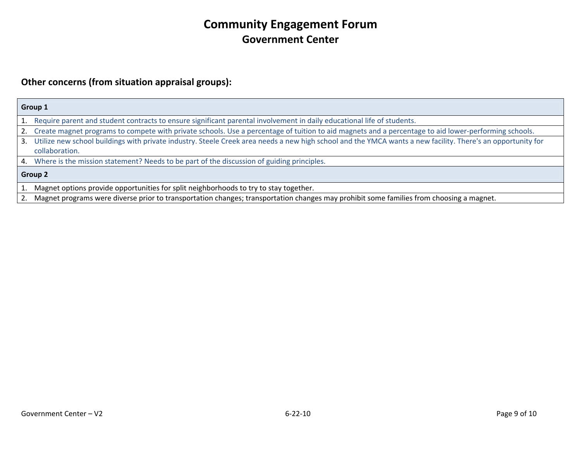#### **Other concerns (from situation appraisal groups):**

|    | Group 1                                                                                                                                                     |  |  |  |  |
|----|-------------------------------------------------------------------------------------------------------------------------------------------------------------|--|--|--|--|
|    | 1. Require parent and student contracts to ensure significant parental involvement in daily educational life of students.                                   |  |  |  |  |
|    | 2. Create magnet programs to compete with private schools. Use a percentage of tuition to aid magnets and a percentage to aid lower-performing schools.     |  |  |  |  |
| 3. | Utilize new school buildings with private industry. Steele Creek area needs a new high school and the YMCA wants a new facility. There's an opportunity for |  |  |  |  |
|    | collaboration.                                                                                                                                              |  |  |  |  |
|    | 4. Where is the mission statement? Needs to be part of the discussion of guiding principles.                                                                |  |  |  |  |
|    | <b>Group 2</b>                                                                                                                                              |  |  |  |  |
|    | Magnet options provide opportunities for split neighborhoods to try to stay together.                                                                       |  |  |  |  |

2. Magnet programs were diverse prior to transportation changes; transportation changes may prohibit some families from choosing <sup>a</sup> magnet.